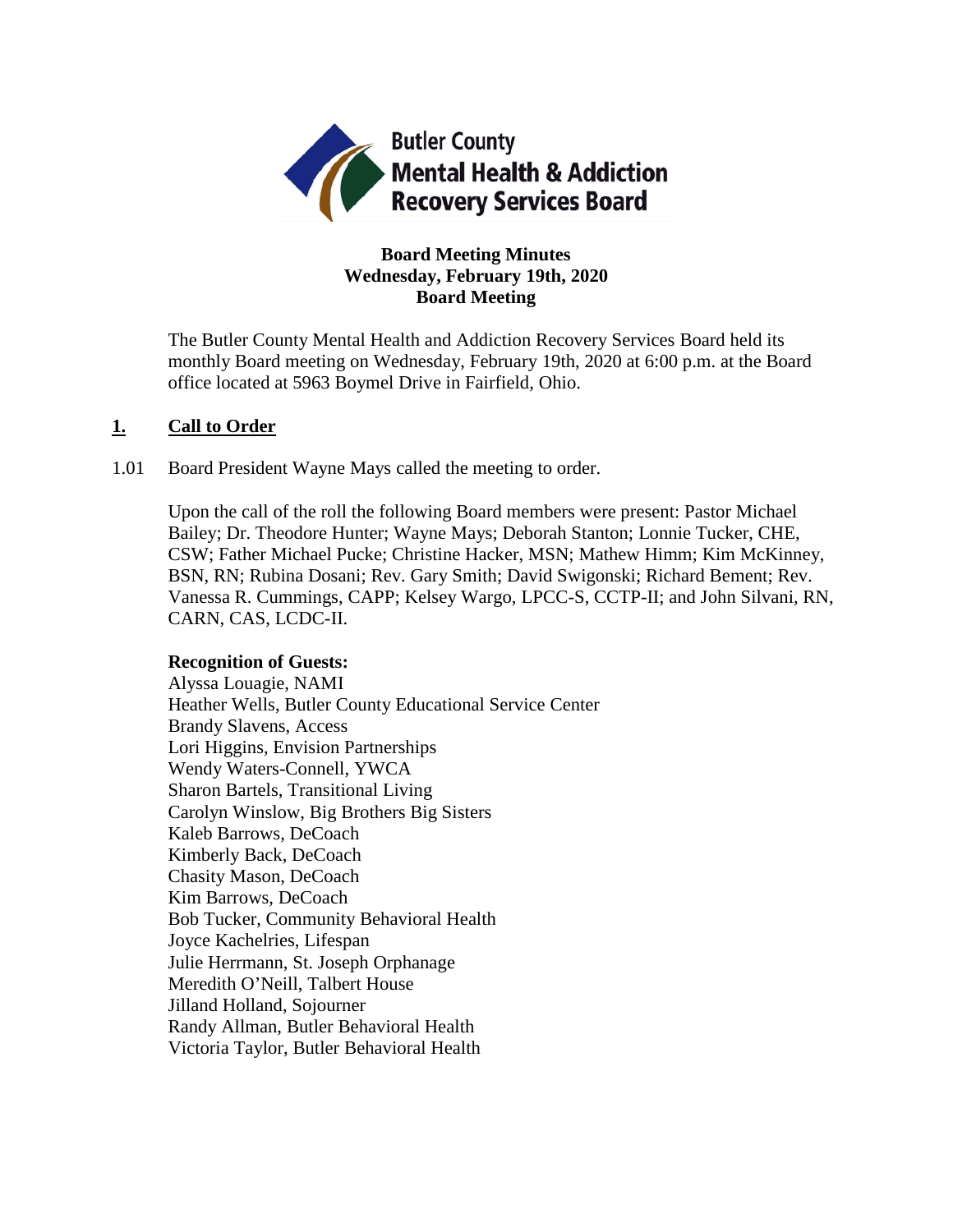

# **Board Meeting Minutes Wednesday, February 19th, 2020 Board Meeting**

The Butler County Mental Health and Addiction Recovery Services Board held its monthly Board meeting on Wednesday, February 19th, 2020 at 6:00 p.m. at the Board office located at 5963 Boymel Drive in Fairfield, Ohio.

### **1. Call to Order**

1.01 Board President Wayne Mays called the meeting to order.

Upon the call of the roll the following Board members were present: Pastor Michael Bailey; Dr. Theodore Hunter; Wayne Mays; Deborah Stanton; Lonnie Tucker, CHE, CSW; Father Michael Pucke; Christine Hacker, MSN; Mathew Himm; Kim McKinney, BSN, RN; Rubina Dosani; Rev. Gary Smith; David Swigonski; Richard Bement; Rev. Vanessa R. Cummings, CAPP; Kelsey Wargo, LPCC-S, CCTP-II; and John Silvani, RN, CARN, CAS, LCDC-II.

# **Recognition of Guests:**

Alyssa Louagie, NAMI Heather Wells, Butler County Educational Service Center Brandy Slavens, Access Lori Higgins, Envision Partnerships Wendy Waters-Connell, YWCA Sharon Bartels, Transitional Living Carolyn Winslow, Big Brothers Big Sisters Kaleb Barrows, DeCoach Kimberly Back, DeCoach Chasity Mason, DeCoach Kim Barrows, DeCoach Bob Tucker, Community Behavioral Health Joyce Kachelries, Lifespan Julie Herrmann, St. Joseph Orphanage Meredith O'Neill, Talbert House Jilland Holland, Sojourner Randy Allman, Butler Behavioral Health Victoria Taylor, Butler Behavioral Health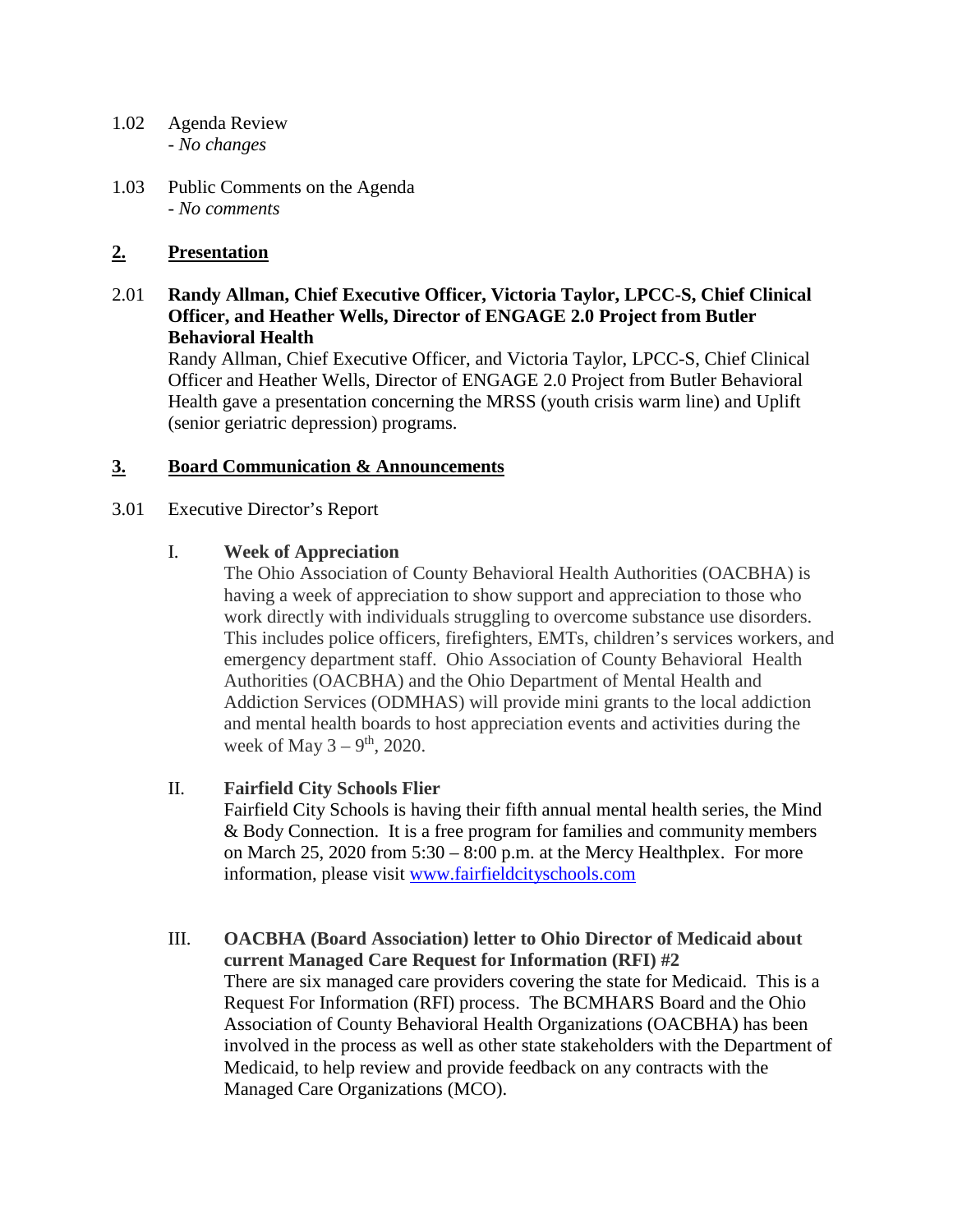- 1.02 Agenda Review *- No changes*
- 1.03 Public Comments on the Agenda - *No comments*

# **2. Presentation**

2.01 **Randy Allman, Chief Executive Officer, Victoria Taylor, LPCC-S, Chief Clinical Officer, and Heather Wells, Director of ENGAGE 2.0 Project from Butler Behavioral Health**

Randy Allman, Chief Executive Officer, and Victoria Taylor, LPCC-S, Chief Clinical Officer and Heather Wells, Director of ENGAGE 2.0 Project from Butler Behavioral Health gave a presentation concerning the MRSS (youth crisis warm line) and Uplift (senior geriatric depression) programs.

### **3. Board Communication & Announcements**

3.01 Executive Director's Report

### I. **Week of Appreciation**

The Ohio Association of County Behavioral Health Authorities (OACBHA) is having a week of appreciation to show support and appreciation to those who work directly with individuals struggling to overcome substance use disorders. This includes police officers, firefighters, EMTs, children's services workers, and emergency department staff. Ohio Association of County Behavioral Health Authorities (OACBHA) and the Ohio Department of Mental Health and Addiction Services (ODMHAS) will provide mini grants to the local addiction and mental health boards to host appreciation events and activities during the week of May  $3 - 9$ <sup>th</sup>, 2020.

### II. **Fairfield City Schools Flier**

Fairfield City Schools is having their fifth annual mental health series, the Mind & Body Connection. It is a free program for families and community members on March 25, 2020 from 5:30 – 8:00 p.m. at the Mercy Healthplex. For more information, please visit [www.fairfieldcityschools.com](http://www.fairfieldcityschools.com/)

III. **OACBHA (Board Association) letter to Ohio Director of Medicaid about current Managed Care Request for Information (RFI) #2** There are six managed care providers covering the state for Medicaid. This is a Request For Information (RFI) process. The BCMHARS Board and the Ohio Association of County Behavioral Health Organizations (OACBHA) has been involved in the process as well as other state stakeholders with the Department of Medicaid, to help review and provide feedback on any contracts with the Managed Care Organizations (MCO).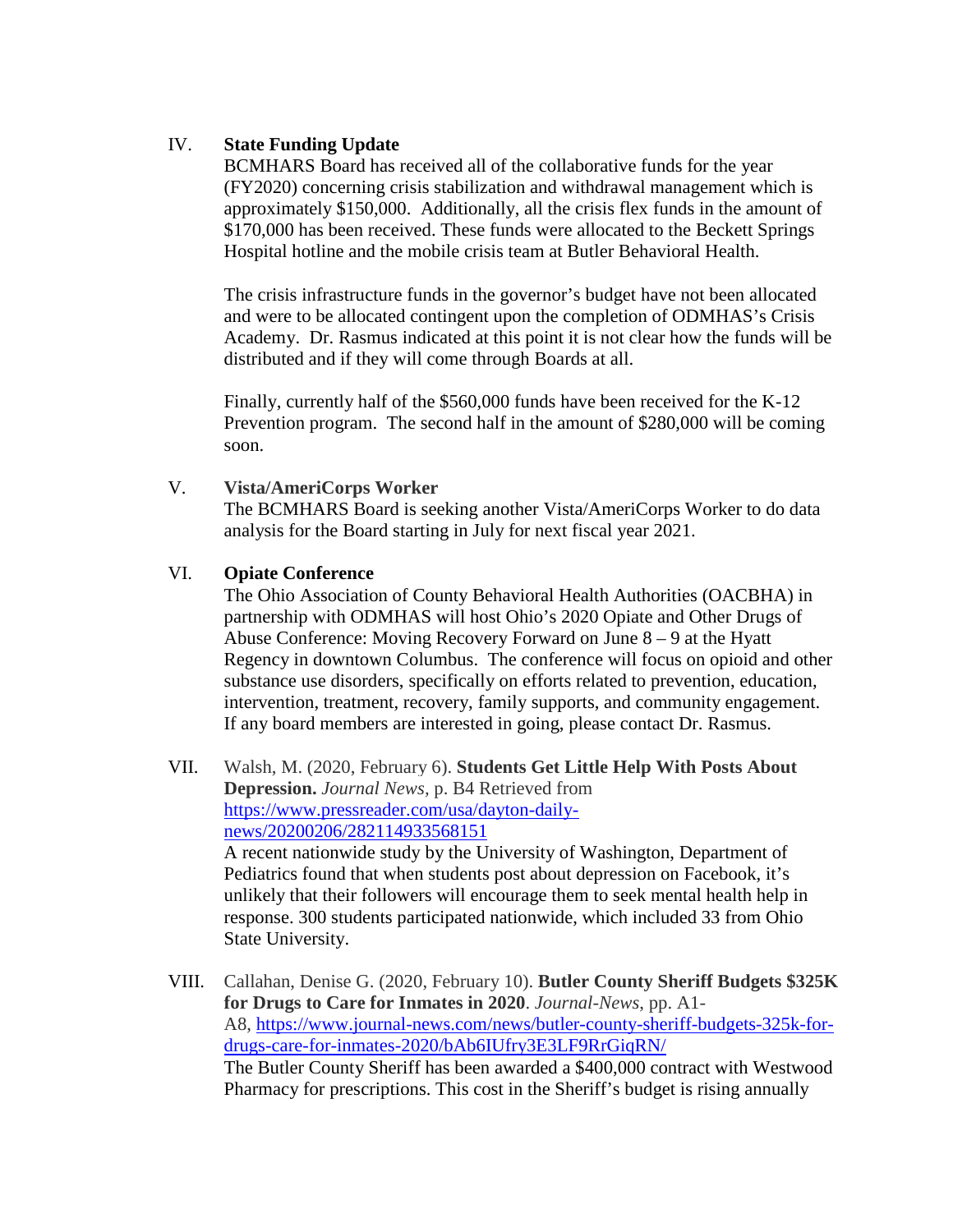## IV. **State Funding Update**

BCMHARS Board has received all of the collaborative funds for the year (FY2020) concerning crisis stabilization and withdrawal management which is approximately \$150,000. Additionally, all the crisis flex funds in the amount of \$170,000 has been received. These funds were allocated to the Beckett Springs Hospital hotline and the mobile crisis team at Butler Behavioral Health.

The crisis infrastructure funds in the governor's budget have not been allocated and were to be allocated contingent upon the completion of ODMHAS's Crisis Academy. Dr. Rasmus indicated at this point it is not clear how the funds will be distributed and if they will come through Boards at all.

Finally, currently half of the \$560,000 funds have been received for the K-12 Prevention program. The second half in the amount of \$280,000 will be coming soon.

### V. **Vista/AmeriCorps Worker**

The BCMHARS Board is seeking another Vista/AmeriCorps Worker to do data analysis for the Board starting in July for next fiscal year 2021.

### VI. **Opiate Conference**

The Ohio Association of County Behavioral Health Authorities (OACBHA) in partnership with ODMHAS will host Ohio's 2020 Opiate and Other Drugs of Abuse Conference: Moving Recovery Forward on June 8 – 9 at the Hyatt Regency in downtown Columbus. The conference will focus on opioid and other substance use disorders, specifically on efforts related to prevention, education, intervention, treatment, recovery, family supports, and community engagement. If any board members are interested in going, please contact Dr. Rasmus.

- VII. Walsh, M. (2020, February 6). **Students Get Little Help With Posts About Depression.** *Journal News,* p. B4 Retrieved from [https://www.pressreader.com/usa/dayton-daily](https://www.pressreader.com/usa/dayton-daily-news/20200206/282114933568151)[news/20200206/282114933568151](https://www.pressreader.com/usa/dayton-daily-news/20200206/282114933568151) A recent nationwide study by the University of Washington, Department of Pediatrics found that when students post about depression on Facebook, it's unlikely that their followers will encourage them to seek mental health help in response. 300 students participated nationwide, which included 33 from Ohio State University.
- VIII. Callahan, Denise G. (2020, February 10). **Butler County Sheriff Budgets \$325K for Drugs to Care for Inmates in 2020**. *Journal-News*, pp. A1- A8, [https://www.journal-news.com/news/butler-county-sheriff-budgets-325k-for](https://www.journal-news.com/news/butler-county-sheriff-budgets-325k-for-drugs-care-for-inmates-2020/bAb6IUfry3E3LF9RrGiqRN/)[drugs-care-for-inmates-2020/bAb6IUfry3E3LF9RrGiqRN/](https://www.journal-news.com/news/butler-county-sheriff-budgets-325k-for-drugs-care-for-inmates-2020/bAb6IUfry3E3LF9RrGiqRN/) The Butler County Sheriff has been awarded a \$400,000 contract with Westwood Pharmacy for prescriptions. This cost in the Sheriff's budget is rising annually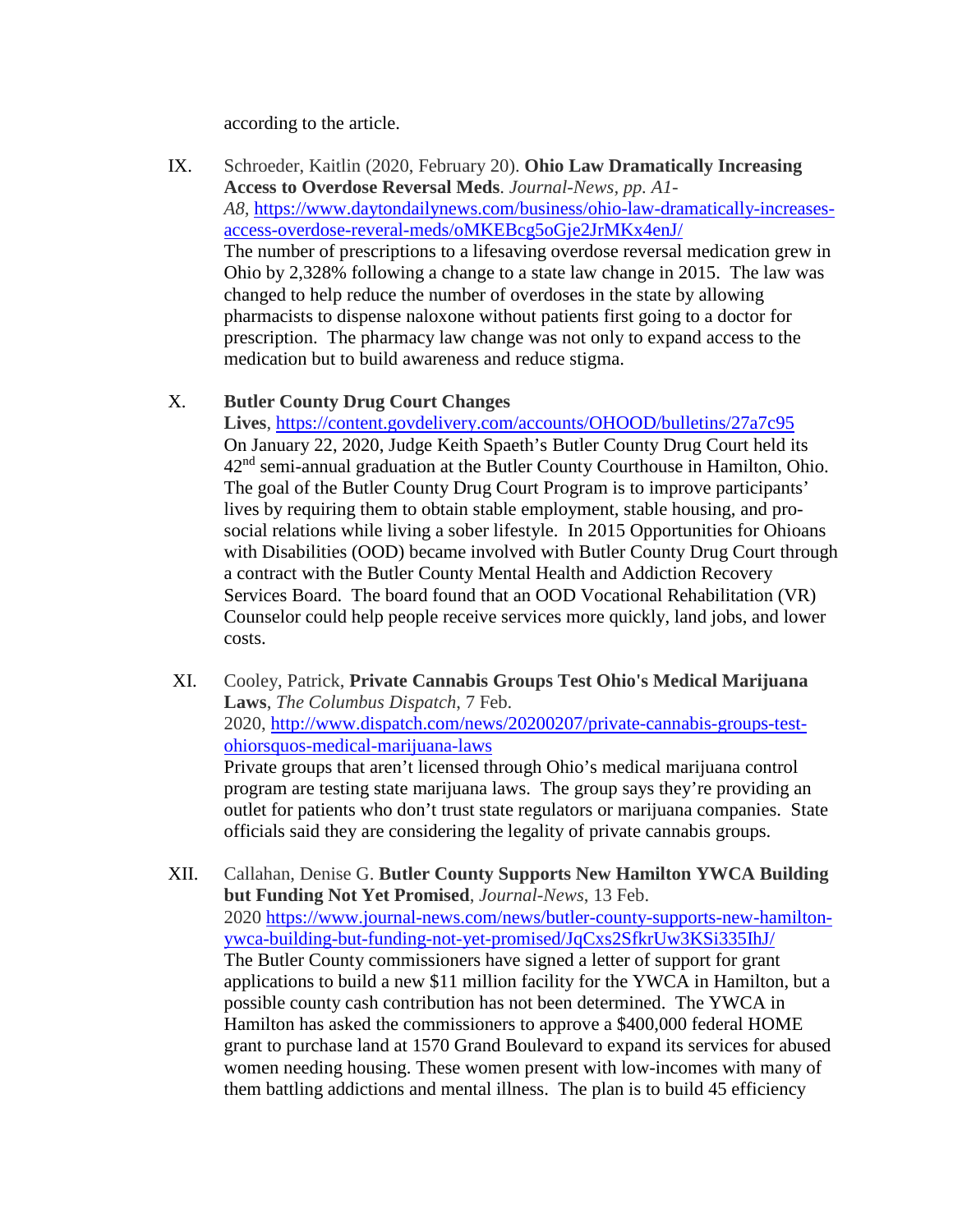according to the article.

IX. Schroeder, Kaitlin (2020, February 20). **Ohio Law Dramatically Increasing Access to Overdose Reversal Meds**. *Journal-News, pp. A1- A8,* [https://www.daytondailynews.com/business/ohio-law-dramatically-increases](https://www.daytondailynews.com/business/ohio-law-dramatically-increases-access-overdose-reveral-meds/oMKEBcg5oGje2JrMKx4enJ/)[access-overdose-reveral-meds/oMKEBcg5oGje2JrMKx4enJ/](https://www.daytondailynews.com/business/ohio-law-dramatically-increases-access-overdose-reveral-meds/oMKEBcg5oGje2JrMKx4enJ/) The number of prescriptions to a lifesaving overdose reversal medication grew in Ohio by 2,328% following a change to a state law change in 2015. The law was changed to help reduce the number of overdoses in the state by allowing pharmacists to dispense naloxone without patients first going to a doctor for prescription. The pharmacy law change was not only to expand access to the medication but to build awareness and reduce stigma.

### X. **Butler County Drug Court Changes**

**Lives**, <https://content.govdelivery.com/accounts/OHOOD/bulletins/27a7c95> On January 22, 2020, Judge Keith Spaeth's Butler County Drug Court held its 42nd semi-annual graduation at the Butler County Courthouse in Hamilton, Ohio. The goal of the Butler County Drug Court Program is to improve participants' lives by requiring them to obtain stable employment, stable housing, and prosocial relations while living a sober lifestyle. In 2015 Opportunities for Ohioans with Disabilities (OOD) became involved with Butler County Drug Court through a contract with the Butler County Mental Health and Addiction Recovery Services Board. The board found that an OOD Vocational Rehabilitation (VR) Counselor could help people receive services more quickly, land jobs, and lower costs.

- XI. Cooley, Patrick, **Private Cannabis Groups Test Ohio's Medical Marijuana Laws**, *The Columbus Dispatch*, 7 Feb. 2020, [http://www.dispatch.com/news/20200207/private-cannabis-groups-test](http://www.dispatch.com/news/20200207/private-cannabis-groups-test-ohiorsquos-medical-marijuana-laws)[ohiorsquos-medical-marijuana-laws](http://www.dispatch.com/news/20200207/private-cannabis-groups-test-ohiorsquos-medical-marijuana-laws) Private groups that aren't licensed through Ohio's medical marijuana control program are testing state marijuana laws. The group says they're providing an outlet for patients who don't trust state regulators or marijuana companies. State officials said they are considering the legality of private cannabis groups.
- XII. Callahan, Denise G. **Butler County Supports New Hamilton YWCA Building but Funding Not Yet Promised**, *Journal-News*, 13 Feb. 2020 [https://www.journal-news.com/news/butler-county-supports-new-hamilton](https://www.journal-news.com/news/butler-county-supports-new-hamilton-ywca-building-but-funding-not-yet-promised/JqCxs2SfkrUw3KSi335IhJ/)[ywca-building-but-funding-not-yet-promised/JqCxs2SfkrUw3KSi335IhJ/](https://www.journal-news.com/news/butler-county-supports-new-hamilton-ywca-building-but-funding-not-yet-promised/JqCxs2SfkrUw3KSi335IhJ/) The Butler County commissioners have signed a letter of support for grant applications to build a new \$11 million facility for the YWCA in Hamilton, but a possible county cash contribution has not been determined. The YWCA in Hamilton has asked the commissioners to approve a \$400,000 federal HOME grant to purchase land at 1570 Grand Boulevard to expand its services for abused women needing housing. These women present with low-incomes with many of them battling addictions and mental illness. The plan is to build 45 efficiency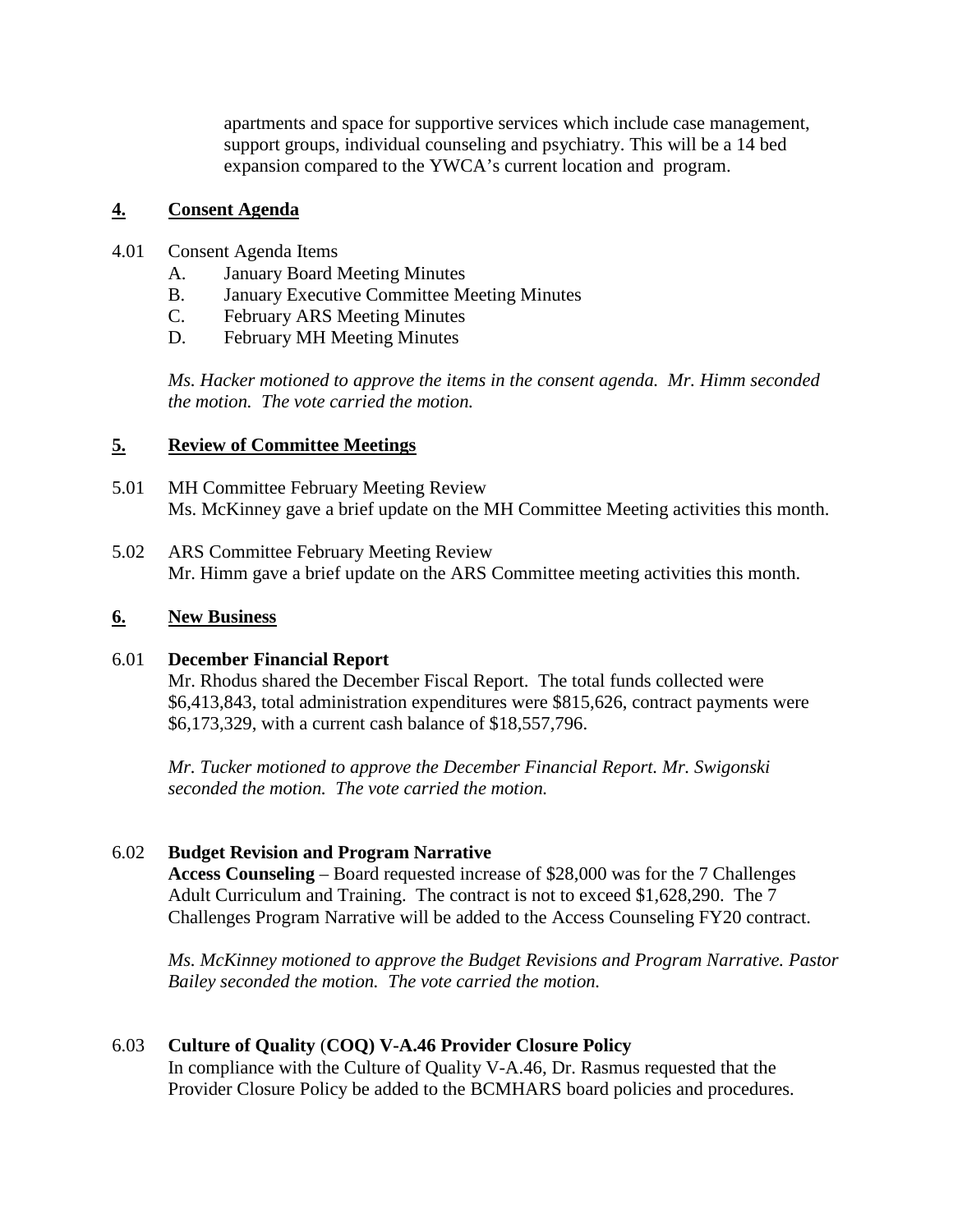apartments and space for supportive services which include case management, support groups, individual counseling and psychiatry. This will be a 14 bed expansion compared to the YWCA's current location and program.

## **4. Consent Agenda**

- 4.01 Consent Agenda Items
	- A. January Board Meeting Minutes
	- B. January Executive Committee Meeting Minutes
	- C. February ARS Meeting Minutes
	- D. February MH Meeting Minutes

*Ms. Hacker motioned to approve the items in the consent agenda. Mr. Himm seconded the motion. The vote carried the motion.*

### **5. Review of Committee Meetings**

- 5.01 MH Committee February Meeting Review Ms. McKinney gave a brief update on the MH Committee Meeting activities this month.
- 5.02 ARS Committee February Meeting Review Mr. Himm gave a brief update on the ARS Committee meeting activities this month.

### **6. New Business**

### 6.01 **December Financial Report**

Mr. Rhodus shared the December Fiscal Report. The total funds collected were \$6,413,843, total administration expenditures were \$815,626, contract payments were \$6,173,329, with a current cash balance of \$18,557,796.

*Mr. Tucker motioned to approve the December Financial Report. Mr. Swigonski seconded the motion. The vote carried the motion.*

### 6.02 **Budget Revision and Program Narrative**

**Access Counseling** – Board requested increase of \$28,000 was for the 7 Challenges Adult Curriculum and Training. The contract is not to exceed \$1,628,290. The 7 Challenges Program Narrative will be added to the Access Counseling FY20 contract.

*Ms. McKinney motioned to approve the Budget Revisions and Program Narrative. Pastor Bailey seconded the motion. The vote carried the motion.*

### 6.03 **Culture of Quality** (**COQ) V-A.46 Provider Closure Policy**

In compliance with the Culture of Quality V-A.46, Dr. Rasmus requested that the Provider Closure Policy be added to the BCMHARS board policies and procedures.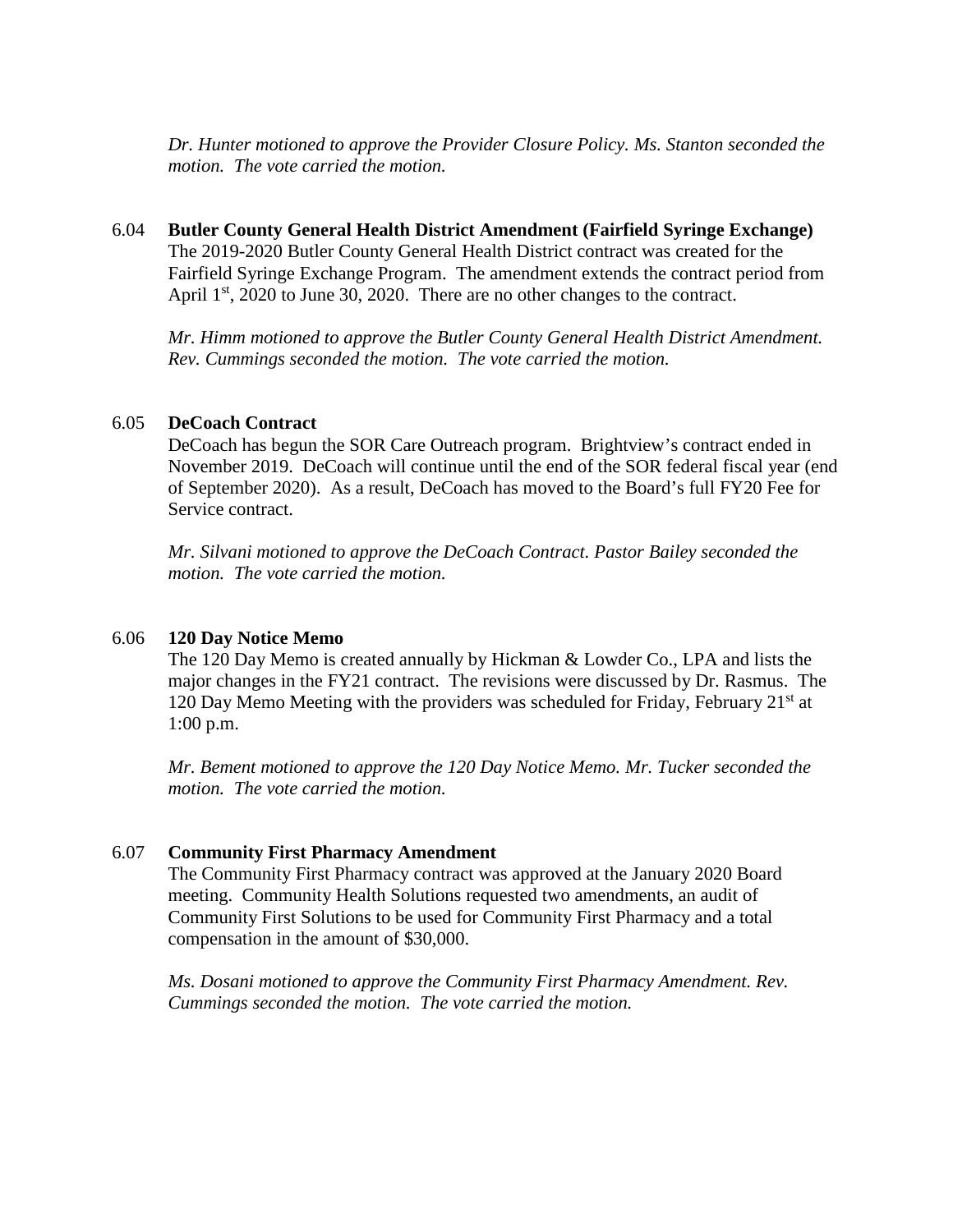*Dr. Hunter motioned to approve the Provider Closure Policy. Ms. Stanton seconded the motion. The vote carried the motion.*

## 6.04 **Butler County General Health District Amendment (Fairfield Syringe Exchange)** The 2019-2020 Butler County General Health District contract was created for the Fairfield Syringe Exchange Program. The amendment extends the contract period from April  $1<sup>st</sup>$ , 2020 to June 30, 2020. There are no other changes to the contract.

*Mr. Himm motioned to approve the Butler County General Health District Amendment. Rev. Cummings seconded the motion. The vote carried the motion.*

### 6.05 **DeCoach Contract**

DeCoach has begun the SOR Care Outreach program. Brightview's contract ended in November 2019. DeCoach will continue until the end of the SOR federal fiscal year (end of September 2020). As a result, DeCoach has moved to the Board's full FY20 Fee for Service contract.

*Mr. Silvani motioned to approve the DeCoach Contract. Pastor Bailey seconded the motion. The vote carried the motion.*

### 6.06 **120 Day Notice Memo**

The 120 Day Memo is created annually by Hickman & Lowder Co., LPA and lists the major changes in the FY21 contract. The revisions were discussed by Dr. Rasmus. The 120 Day Memo Meeting with the providers was scheduled for Friday, February  $21<sup>st</sup>$  at 1:00 p.m.

*Mr. Bement motioned to approve the 120 Day Notice Memo. Mr. Tucker seconded the motion. The vote carried the motion.*

#### 6.07 **Community First Pharmacy Amendment**

The Community First Pharmacy contract was approved at the January 2020 Board meeting. Community Health Solutions requested two amendments, an audit of Community First Solutions to be used for Community First Pharmacy and a total compensation in the amount of \$30,000.

*Ms. Dosani motioned to approve the Community First Pharmacy Amendment. Rev. Cummings seconded the motion. The vote carried the motion.*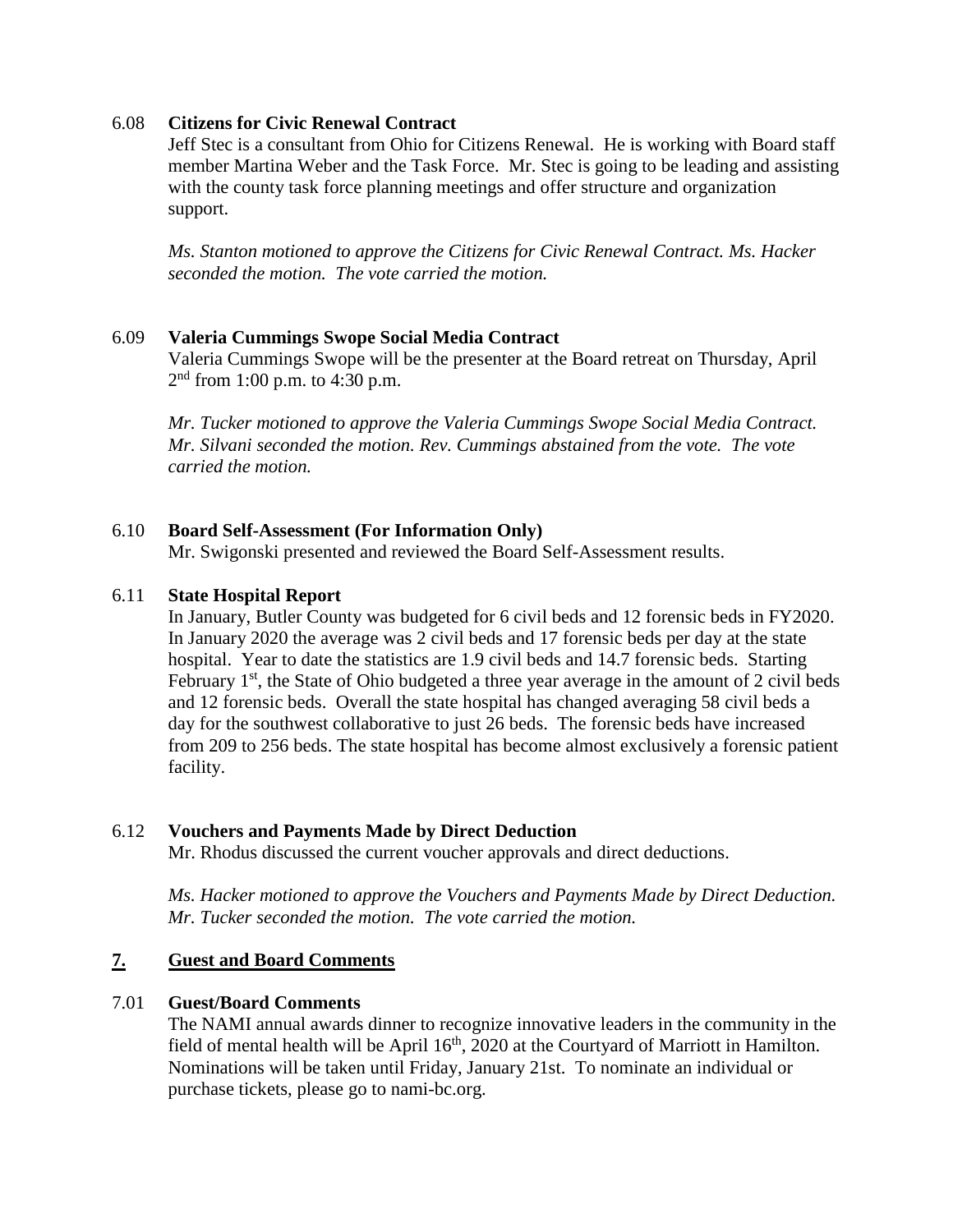#### 6.08 **Citizens for Civic Renewal Contract**

Jeff Stec is a consultant from Ohio for Citizens Renewal. He is working with Board staff member Martina Weber and the Task Force. Mr. Stec is going to be leading and assisting with the county task force planning meetings and offer structure and organization support.

*Ms. Stanton motioned to approve the Citizens for Civic Renewal Contract. Ms. Hacker seconded the motion. The vote carried the motion.*

### 6.09 **Valeria Cummings Swope Social Media Contract**

Valeria Cummings Swope will be the presenter at the Board retreat on Thursday, April  $2<sup>nd</sup>$  from 1:00 p.m. to 4:30 p.m.

*Mr. Tucker motioned to approve the Valeria Cummings Swope Social Media Contract. Mr. Silvani seconded the motion. Rev. Cummings abstained from the vote. The vote carried the motion.*

#### 6.10 **Board Self-Assessment (For Information Only)**

Mr. Swigonski presented and reviewed the Board Self-Assessment results.

#### 6.11 **State Hospital Report**

In January, Butler County was budgeted for 6 civil beds and 12 forensic beds in FY2020. In January 2020 the average was 2 civil beds and 17 forensic beds per day at the state hospital. Year to date the statistics are 1.9 civil beds and 14.7 forensic beds. Starting February  $1<sup>st</sup>$ , the State of Ohio budgeted a three year average in the amount of 2 civil beds and 12 forensic beds. Overall the state hospital has changed averaging 58 civil beds a day for the southwest collaborative to just 26 beds. The forensic beds have increased from 209 to 256 beds. The state hospital has become almost exclusively a forensic patient facility.

### 6.12 **Vouchers and Payments Made by Direct Deduction**

Mr. Rhodus discussed the current voucher approvals and direct deductions.

*Ms. Hacker motioned to approve the Vouchers and Payments Made by Direct Deduction. Mr. Tucker seconded the motion. The vote carried the motion.*

### **7. Guest and Board Comments**

### 7.01 **Guest/Board Comments**

The NAMI annual awards dinner to recognize innovative leaders in the community in the field of mental health will be April  $16<sup>th</sup>$ , 2020 at the Courtyard of Marriott in Hamilton. Nominations will be taken until Friday, January 21st. To nominate an individual or purchase tickets, please go to nami-bc.org.